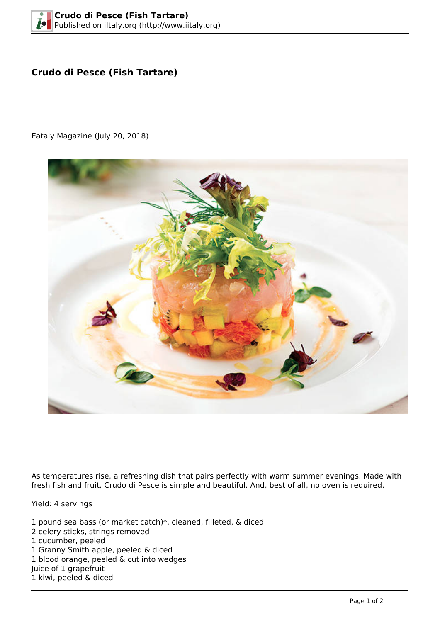## **Crudo di Pesce (Fish Tartare)**

Eataly Magazine (July 20, 2018)



As temperatures rise, a refreshing dish that pairs perfectly with warm summer evenings. Made with fresh fish and fruit, Crudo di Pesce is simple and beautiful. And, best of all, no oven is required.

Yield: 4 servings

1 pound sea bass (or market catch)\*, cleaned, filleted, & diced 2 celery sticks, strings removed 1 cucumber, peeled 1 Granny Smith apple, peeled & diced 1 blood orange, peeled & cut into wedges Juice of 1 grapefruit 1 kiwi, peeled & diced